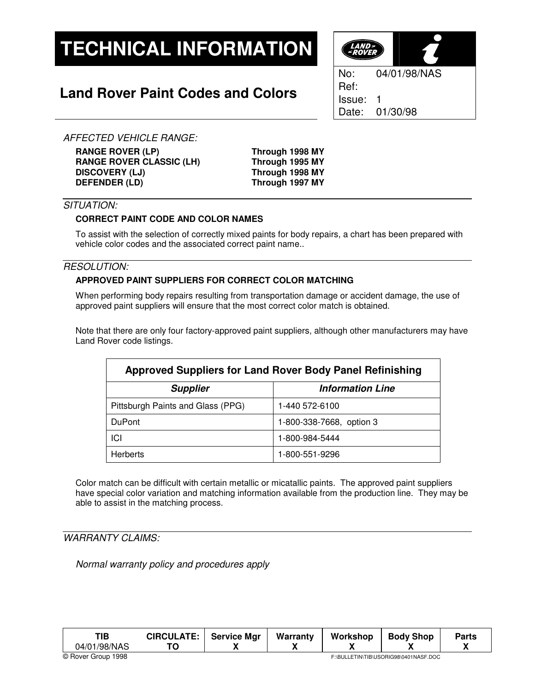# **TECHNICAL INFORMATION**

## **Land Rover Paint Codes and Colors**



AFFECTED VEHICLE RANGE:

**RANGE ROVER (LP) Through 1998 MY RANGE ROVER CLASSIC (LH) Through 1995 MY DISCOVERY (LJ) Through 1998 MY DEFENDER (LD) Through 1997 MY**

### SITUATION:

#### **CORRECT PAINT CODE AND COLOR NAMES**

To assist with the selection of correctly mixed paints for body repairs, a chart has been prepared with vehicle color codes and the associated correct paint name..

#### RESOLUTION:

#### **APPROVED PAINT SUPPLIERS FOR CORRECT COLOR MATCHING**

When performing body repairs resulting from transportation damage or accident damage, the use of approved paint suppliers will ensure that the most correct color match is obtained.

Note that there are only four factory-approved paint suppliers, although other manufacturers may have Land Rover code listings.

| <b>Approved Suppliers for Land Rover Body Panel Refinishing</b> |                          |  |  |  |
|-----------------------------------------------------------------|--------------------------|--|--|--|
| <b>Supplier</b>                                                 | <b>Information Line</b>  |  |  |  |
| Pittsburgh Paints and Glass (PPG)                               | 1-440 572-6100           |  |  |  |
| <b>DuPont</b>                                                   | 1-800-338-7668, option 3 |  |  |  |
| ICI                                                             | 1-800-984-5444           |  |  |  |
| <b>Herberts</b>                                                 | 1-800-551-9296           |  |  |  |

Color match can be difficult with certain metallic or micatallic paints. The approved paint suppliers have special color variation and matching information available from the production line. They may be able to assist in the matching process.

#### WARRANTY CLAIMS:

Normal warranty policy and procedures apply

| TIB<br>04/01/98/NAS | <b>CIRCULATE:</b>                     | <b>Service Mar</b><br>. . | Warranty | Workshop | <b>Body Shop</b> | <b>Parts</b> |
|---------------------|---------------------------------------|---------------------------|----------|----------|------------------|--------------|
| © Rover Group 1998  | F:\BULLETIN\TIB\USORIG98\0401NASF.DOC |                           |          |          |                  |              |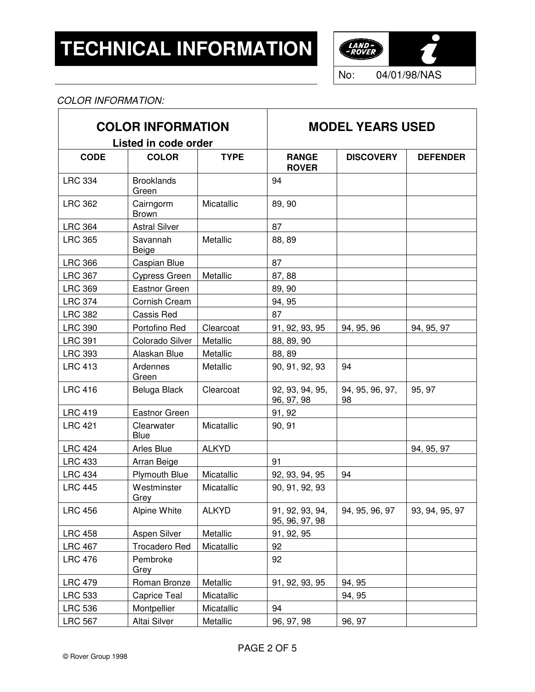

#### COLOR INFORMATION:  $\overline{1}$

| <b>COLOR INFORMATION</b><br>Listed in code order |                            |              | <b>MODEL YEARS USED</b>           |                       |                 |  |
|--------------------------------------------------|----------------------------|--------------|-----------------------------------|-----------------------|-----------------|--|
| <b>CODE</b>                                      | <b>COLOR</b>               | <b>TYPE</b>  | <b>RANGE</b><br><b>ROVER</b>      | <b>DISCOVERY</b>      | <b>DEFENDER</b> |  |
| <b>LRC 334</b>                                   | <b>Brooklands</b><br>Green |              | 94                                |                       |                 |  |
| <b>LRC 362</b>                                   | Cairngorm<br><b>Brown</b>  | Micatallic   | 89, 90                            |                       |                 |  |
| <b>LRC 364</b>                                   | <b>Astral Silver</b>       |              | 87                                |                       |                 |  |
| <b>LRC 365</b>                                   | Savannah<br>Beige          | Metallic     | 88, 89                            |                       |                 |  |
| <b>LRC 366</b>                                   | Caspian Blue               |              | 87                                |                       |                 |  |
| <b>LRC 367</b>                                   | Cypress Green              | Metallic     | 87, 88                            |                       |                 |  |
| <b>LRC 369</b>                                   | <b>Eastnor Green</b>       |              | 89, 90                            |                       |                 |  |
| <b>LRC 374</b>                                   | Cornish Cream              |              | 94, 95                            |                       |                 |  |
| <b>LRC 382</b>                                   | Cassis Red                 |              | 87                                |                       |                 |  |
| <b>LRC 390</b>                                   | Portofino Red              | Clearcoat    | 91, 92, 93, 95                    | 94, 95, 96            | 94, 95, 97      |  |
| <b>LRC 391</b>                                   | Colorado Silver            | Metallic     | 88, 89, 90                        |                       |                 |  |
| <b>LRC 393</b>                                   | Alaskan Blue               | Metallic     | 88, 89                            |                       |                 |  |
| <b>LRC 413</b>                                   | Ardennes<br>Green          | Metallic     | 90, 91, 92, 93                    | 94                    |                 |  |
| <b>LRC 416</b>                                   | Beluga Black               | Clearcoat    | 92, 93, 94, 95,<br>96, 97, 98     | 94, 95, 96, 97,<br>98 | 95, 97          |  |
| <b>LRC 419</b>                                   | <b>Eastnor Green</b>       |              | 91, 92                            |                       |                 |  |
| <b>LRC 421</b>                                   | Clearwater<br><b>Blue</b>  | Micatallic   | 90, 91                            |                       |                 |  |
| <b>LRC 424</b>                                   | Arles Blue                 | <b>ALKYD</b> |                                   |                       | 94, 95, 97      |  |
| <b>LRC 433</b>                                   | Arran Beige                |              | 91                                |                       |                 |  |
| <b>LRC 434</b>                                   | <b>Plymouth Blue</b>       | Micatallic   | 92, 93, 94, 95                    | 94                    |                 |  |
| <b>LRC 445</b>                                   | Westminster<br>Grey        | Micatallic   | 90, 91, 92, 93                    |                       |                 |  |
| <b>LRC 456</b>                                   | Alpine White               | <b>ALKYD</b> | 91, 92, 93, 94,<br>95, 96, 97, 98 | 94, 95, 96, 97        | 93, 94, 95, 97  |  |
| <b>LRC 458</b>                                   | Aspen Silver               | Metallic     | 91, 92, 95                        |                       |                 |  |
| <b>LRC 467</b>                                   | Trocadero Red              | Micatallic   | 92                                |                       |                 |  |
| <b>LRC 476</b>                                   | Pembroke<br>Grey           |              | 92                                |                       |                 |  |
| <b>LRC 479</b>                                   | Roman Bronze               | Metallic     | 91, 92, 93, 95                    | 94, 95                |                 |  |
| <b>LRC 533</b>                                   | Caprice Teal               | Micatallic   |                                   | 94, 95                |                 |  |
| <b>LRC 536</b>                                   | Montpellier                | Micatallic   | 94                                |                       |                 |  |
| <b>LRC 567</b>                                   | Altai Silver               | Metallic     | 96, 97, 98                        | 96, 97                |                 |  |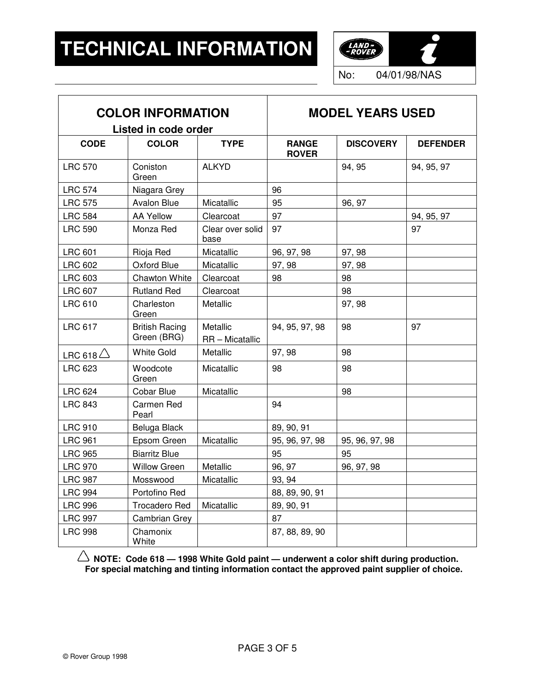

No: 04/01/98/NAS

| <b>COLOR INFORMATION</b><br>Listed in code order |                                      | <b>MODEL YEARS USED</b>     |                              |                  |                 |
|--------------------------------------------------|--------------------------------------|-----------------------------|------------------------------|------------------|-----------------|
| <b>CODE</b>                                      | <b>COLOR</b>                         | <b>TYPE</b>                 | <b>RANGE</b><br><b>ROVER</b> | <b>DISCOVERY</b> | <b>DEFENDER</b> |
| <b>LRC 570</b>                                   | Coniston<br>Green                    | <b>ALKYD</b>                |                              | 94, 95           | 94, 95, 97      |
| <b>LRC 574</b>                                   | Niagara Grey                         |                             | 96                           |                  |                 |
| <b>LRC 575</b>                                   | <b>Avalon Blue</b>                   | Micatallic                  | 95                           | 96, 97           |                 |
| <b>LRC 584</b>                                   | <b>AA Yellow</b>                     | Clearcoat                   | 97                           |                  | 94, 95, 97      |
| <b>LRC 590</b>                                   | Monza Red                            | Clear over solid<br>base    | 97                           |                  | 97              |
| <b>LRC 601</b>                                   | Rioja Red                            | Micatallic                  | 96, 97, 98                   | 97, 98           |                 |
| <b>LRC 602</b>                                   | Oxford Blue                          | Micatallic                  | 97, 98                       | 97, 98           |                 |
| <b>LRC 603</b>                                   | <b>Chawton White</b>                 | Clearcoat                   | 98                           | 98               |                 |
| <b>LRC 607</b>                                   | <b>Rutland Red</b>                   | Clearcoat                   |                              | 98               |                 |
| <b>LRC 610</b>                                   | Charleston<br>Green                  | Metallic                    |                              | 97, 98           |                 |
| <b>LRC 617</b>                                   | <b>British Racing</b><br>Green (BRG) | Metallic<br>RR - Micatallic | 94, 95, 97, 98               | 98               | 97              |
| LRC 618 $\triangle$                              | <b>White Gold</b>                    | Metallic                    | 97, 98                       | 98               |                 |
| <b>LRC 623</b>                                   | Woodcote<br>Green                    | Micatallic                  | 98                           | 98               |                 |
| <b>LRC 624</b>                                   | Cobar Blue                           | Micatallic                  |                              | 98               |                 |
| <b>LRC 843</b>                                   | Carmen Red<br>Pearl                  |                             | 94                           |                  |                 |
| <b>LRC 910</b>                                   | Beluga Black                         |                             | 89, 90, 91                   |                  |                 |
| <b>LRC 961</b>                                   | Epsom Green                          | Micatallic                  | 95, 96, 97, 98               | 95, 96, 97, 98   |                 |
| <b>LRC 965</b>                                   | <b>Biarritz Blue</b>                 |                             | 95                           | 95               |                 |
| <b>LRC 970</b>                                   | <b>Willow Green</b>                  | Metallic                    | 96, 97                       | 96, 97, 98       |                 |
| <b>LRC 987</b>                                   | Mosswood                             | Micatallic                  | 93, 94                       |                  |                 |
| <b>LRC 994</b>                                   | Portofino Red                        |                             | 88, 89, 90, 91               |                  |                 |
| <b>LRC 996</b>                                   | <b>Trocadero Red</b>                 | Micatallic                  | 89, 90, 91                   |                  |                 |
| <b>LRC 997</b>                                   | Cambrian Grey                        |                             | 87                           |                  |                 |
| <b>LRC 998</b>                                   | Chamonix<br>White                    |                             | 87, 88, 89, 90               |                  |                 |

**NOTE: Code 618 — 1998 White Gold paint — underwent a color shift during production. For special matching and tinting information contact the approved paint supplier of choice.**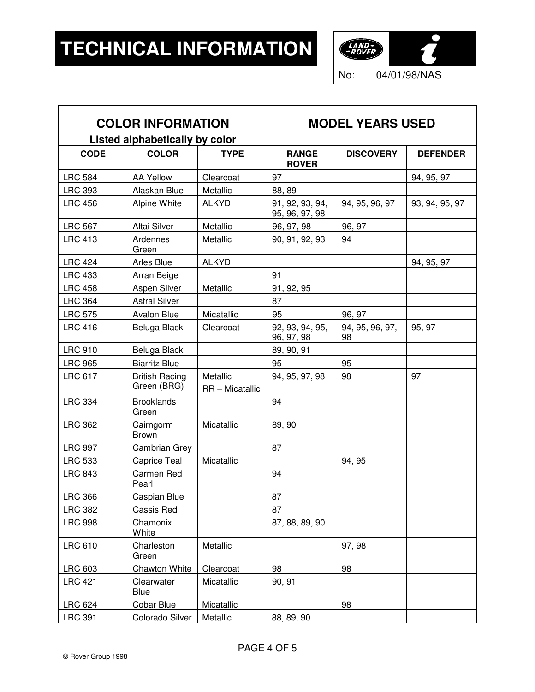$\mathsf{r}$ 



| <b>COLOR INFORMATION</b>       |                                      |                             | <b>MODEL YEARS USED</b>           |                       |                 |
|--------------------------------|--------------------------------------|-----------------------------|-----------------------------------|-----------------------|-----------------|
| Listed alphabetically by color |                                      |                             |                                   |                       |                 |
| <b>CODE</b>                    | <b>COLOR</b>                         | <b>TYPE</b>                 | <b>RANGE</b><br><b>ROVER</b>      | <b>DISCOVERY</b>      | <b>DEFENDER</b> |
| <b>LRC 584</b>                 | <b>AA Yellow</b>                     | Clearcoat                   | 97                                |                       | 94, 95, 97      |
| <b>LRC 393</b>                 | Alaskan Blue                         | Metallic                    | 88, 89                            |                       |                 |
| <b>LRC 456</b>                 | Alpine White                         | <b>ALKYD</b>                | 91, 92, 93, 94,<br>95, 96, 97, 98 | 94, 95, 96, 97        | 93, 94, 95, 97  |
| <b>LRC 567</b>                 | Altai Silver                         | Metallic                    | 96, 97, 98                        | 96, 97                |                 |
| <b>LRC 413</b>                 | Ardennes<br>Green                    | Metallic                    | 90, 91, 92, 93                    | 94                    |                 |
| <b>LRC 424</b>                 | Arles Blue                           | <b>ALKYD</b>                |                                   |                       | 94, 95, 97      |
| <b>LRC 433</b>                 | Arran Beige                          |                             | 91                                |                       |                 |
| <b>LRC 458</b>                 | Aspen Silver                         | Metallic                    | 91, 92, 95                        |                       |                 |
| <b>LRC 364</b>                 | <b>Astral Silver</b>                 |                             | 87                                |                       |                 |
| <b>LRC 575</b>                 | Avalon Blue                          | Micatallic                  | 95                                | 96, 97                |                 |
| <b>LRC 416</b>                 | Beluga Black                         | Clearcoat                   | 92, 93, 94, 95,<br>96, 97, 98     | 94, 95, 96, 97,<br>98 | 95, 97          |
| <b>LRC 910</b>                 | Beluga Black                         |                             | 89, 90, 91                        |                       |                 |
| <b>LRC 965</b>                 | <b>Biarritz Blue</b>                 |                             | 95                                | 95                    |                 |
| <b>LRC 617</b>                 | <b>British Racing</b><br>Green (BRG) | Metallic<br>RR - Micatallic | 94, 95, 97, 98                    | 98                    | 97              |
| <b>LRC 334</b>                 | <b>Brooklands</b><br>Green           |                             | 94                                |                       |                 |
| <b>LRC 362</b>                 | Cairngorm<br><b>Brown</b>            | Micatallic                  | 89, 90                            |                       |                 |
| <b>LRC 997</b>                 | Cambrian Grey                        |                             | 87                                |                       |                 |
| <b>LRC 533</b>                 | Caprice Teal                         | Micatallic                  |                                   | 94, 95                |                 |
| <b>LRC 843</b>                 | Carmen Red<br>Pearl                  |                             | 94                                |                       |                 |
| <b>LRC 366</b>                 | Caspian Blue                         |                             | 87                                |                       |                 |
| <b>LRC 382</b>                 | Cassis Red                           |                             | 87                                |                       |                 |
| <b>LRC 998</b>                 | Chamonix<br>White                    |                             | 87, 88, 89, 90                    |                       |                 |
| <b>LRC 610</b>                 | Charleston<br>Green                  | Metallic                    |                                   | 97, 98                |                 |
| <b>LRC 603</b>                 | <b>Chawton White</b>                 | Clearcoat                   | 98                                | 98                    |                 |
| <b>LRC 421</b>                 | Clearwater<br>Blue                   | Micatallic                  | 90, 91                            |                       |                 |
| <b>LRC 624</b>                 | Cobar Blue                           | Micatallic                  |                                   | 98                    |                 |
| <b>LRC 391</b>                 | Colorado Silver                      | Metallic                    | 88, 89, 90                        |                       |                 |

┯